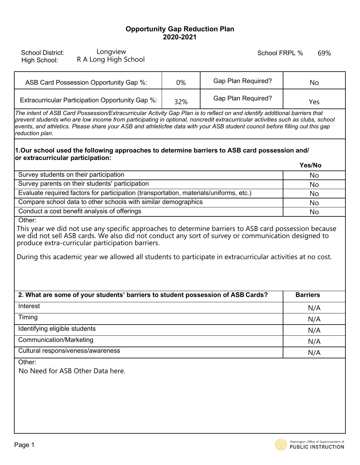## **Opportunity Gap Reduction Plan 2020-2021**

| Longview<br><b>School District:</b><br>R A Long High School<br>High School:                                                                                                                                                                                                                                                                                                                                    |     | School FRPL %             | 69%             |  |
|----------------------------------------------------------------------------------------------------------------------------------------------------------------------------------------------------------------------------------------------------------------------------------------------------------------------------------------------------------------------------------------------------------------|-----|---------------------------|-----------------|--|
| ASB Card Possession Opportunity Gap %:                                                                                                                                                                                                                                                                                                                                                                         | 0%  | <b>Gap Plan Required?</b> | No              |  |
| Extracurricular Participation Opportunity Gap %:                                                                                                                                                                                                                                                                                                                                                               | 32% | Gap Plan Required?        | Yes             |  |
| The intent of ASB Card Possession/Extracurricular Activity Gap Plan is to reflect on and identify additional barriers that<br>prevent students who are low income from participating in optional, noncredit extracurricular activities such as clubs, school<br>events, and athletics. Please share your ASB and athleticfee data with your ASB student council before filling out this gap<br>reduction plan. |     |                           |                 |  |
| 1.Our school used the following approaches to determine barriers to ASB card possession and/<br>or extracurricular participation:                                                                                                                                                                                                                                                                              |     |                           |                 |  |
|                                                                                                                                                                                                                                                                                                                                                                                                                |     |                           | Yes/No          |  |
| Survey students on their participation<br>Survey parents on their students' participation                                                                                                                                                                                                                                                                                                                      |     |                           | No              |  |
| Evaluate required factors for participation (transportation, materials/uniforms, etc.)                                                                                                                                                                                                                                                                                                                         |     |                           | <b>No</b><br>No |  |
| Compare school data to other schools with similar demographics                                                                                                                                                                                                                                                                                                                                                 |     |                           | No              |  |
| Conduct a cost benefit analysis of offerings                                                                                                                                                                                                                                                                                                                                                                   |     |                           | No              |  |
| Other:<br>This year we did not use any specific approaches to determine barriers to ASB card possession because<br>we did not sell ASB cards. We also did not conduct any sort of survey or communication designed to<br>produce extra-curricular participation barriers.<br>During this academic year we allowed all students to participate in extracurricular activities at no cost.                        |     |                           |                 |  |
| 2. What are some of your students' barriers to student possession of ASB Cards?                                                                                                                                                                                                                                                                                                                                |     |                           | <b>Barriers</b> |  |
| Interest                                                                                                                                                                                                                                                                                                                                                                                                       |     |                           | N/A             |  |
| Timing                                                                                                                                                                                                                                                                                                                                                                                                         |     |                           | N/A             |  |
| Identifying eligible students                                                                                                                                                                                                                                                                                                                                                                                  |     |                           | N/A             |  |
| <b>Communication/Marketing</b>                                                                                                                                                                                                                                                                                                                                                                                 |     |                           |                 |  |
| Cultural responsiveness/awareness                                                                                                                                                                                                                                                                                                                                                                              |     |                           | N/A             |  |
|                                                                                                                                                                                                                                                                                                                                                                                                                |     |                           | N/A             |  |
| Other:<br>No Need for ASB Other Data here.                                                                                                                                                                                                                                                                                                                                                                     |     |                           |                 |  |